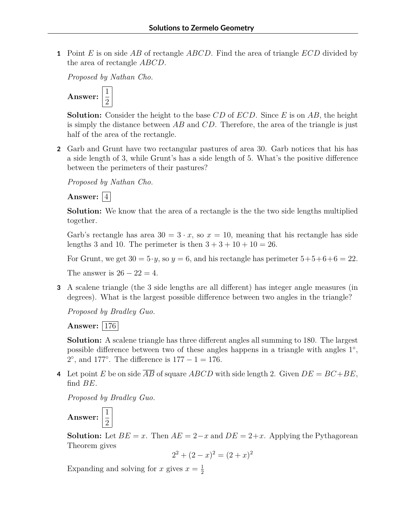**1** Point *E* is on side *AB* of rectangle *ABCD*. Find the area of triangle *ECD* divided by the area of rectangle *ABCD*.

*Proposed by Nathan Cho.*



**Solution:** Consider the height to the base *CD* of *ECD*. Since *E* is on *AB*, the height is simply the distance between *AB* and *CD*. Therefore, the area of the triangle is just half of the area of the rectangle.

**2** Garb and Grunt have two rectangular pastures of area 30. Garb notices that his has a side length of 3, while Grunt's has a side length of 5. What's the positive difference between the perimeters of their pastures?

*Proposed by Nathan Cho.*

Answer:  $|4|$ 

**Solution:** We know that the area of a rectangle is the the two side lengths multiplied together.

Garb's rectangle has area  $30 = 3 \cdot x$ , so  $x = 10$ , meaning that his rectangle has side lengths 3 and 10. The perimeter is then  $3 + 3 + 10 + 10 = 26$ .

For Grunt, we get  $30 = 5 \cdot y$ , so  $y = 6$ , and his rectangle has perimeter  $5+5+6+6=22$ .

The answer is  $26 - 22 = 4$ .

**3** A scalene triangle (the 3 side lengths are all different) has integer angle measures (in degrees). What is the largest possible difference between two angles in the triangle?

*Proposed by Bradley Guo.*

**Answer:** | 176 |

**Solution:** A scalene triangle has three different angles all summing to 180. The largest possible difference between two of these angles happens in a triangle with angles  $1^{\circ}$ , 2°, and 177°. The difference is  $177 − 1 = 176$ .

**4** Let point *E* be on side  $\overline{AB}$  of square *ABCD* with side length 2. Given  $DE = BC + BE$ , find *BE*.

*Proposed by Bradley Guo.*

2

**Answer:**  $\frac{1}{2}$ 

**Solution:** Let  $BE = x$ . Then  $AE = 2-x$  and  $DE = 2+x$ . Applying the Pythagorean Theorem gives

$$
2^2 + (2 - x)^2 = (2 + x)^2
$$

Expanding and solving for *x* gives  $x = \frac{1}{2}$ 2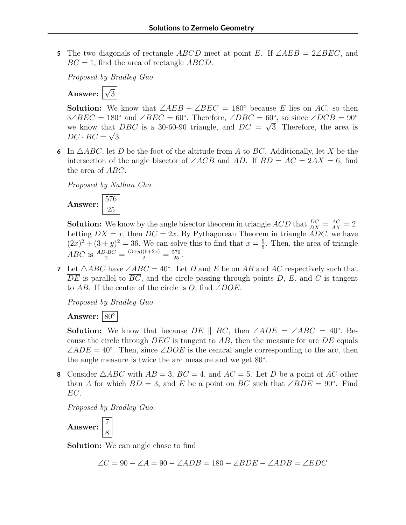**<sup>5</sup>** The two diagonals of rectangle *ABCD* meet at point *E*. If ∠*AEB* = 2∠*BEC*, and *BC* = 1, find the area of rectangle *ABCD*.

*Proposed by Bradley Guo.*



**Solution:** We know that  $\angle AEB + \angle BEC = 180^\circ$  because *E* lies on *AC*, so then  $3\angle BEC = 180°$  and  $\angle BEC = 60°$ . Therefore,  $\angle DBC = 60°$ , so since  $\angle DCB = 90°$ we know that *DBC* is a 30-60-90 triangle, and  $DC = \sqrt{3}$ . Therefore, the area is  $DC \cdot BC = \sqrt{3}$ .

6 In  $\triangle ABC$ , let *D* be the foot of the altitude from *A* to *BC*. Additionally, let *X* be the intersection of the angle bisector of  $\angle ACB$  and  $AD$ . If  $BD = AC = 2AX = 6$ , find the area of *ABC*.

*Proposed by Nathan Cho.*



**Solution:** We know by the angle bisector theorem in triangle  $ACD$  that  $\frac{DC}{DX} = \frac{AC}{AX} = 2$ . Letting  $DX = x$ , then  $DC = 2x$ . By Pythagorean Theorem in triangle  $ADC$ , we have  $(2x)^{2} + (3 + y)^{2} = 36$ . We can solve this to find that  $x = \frac{9}{5}$  $\frac{9}{5}$ . Then, the area of triangle *ABC* is  $\frac{AD \cdot BC}{2} = \frac{(3+y)(6+2x)}{2} = \frac{576}{25}$ .

**7** Let  $\triangle ABC$  have  $\angle ABC = 40^\circ$ . Let *D* and *E* be on  $\overline{AB}$  and  $\overline{AC}$  respectively such that  $\overline{DE}$  is parallel to  $\overline{BC}$ , and the circle passing through points *D*, *E*, and *C* is tangent to *AB*. If the center of the circle is *O*, find ∠*DOE*.

*Proposed by Bradley Guo.*



**Solution:** We know that because  $DE \parallel BC$ , then  $\angle ADE = \angle ABC = 40^\circ$ . Because the circle through *DEC* is tangent to *AB*, then the measure for arc *DE* equals  $\angle ADE = 40^\circ$ . Then, since  $\angle DOE$  is the central angle corresponding to the arc, then the angle measure is twice the arc measure and we get 80◦ .

**8** Consider  $\triangle ABC$  with  $AB = 3$ ,  $BC = 4$ , and  $AC = 5$ . Let *D* be a point of *AC* other than *A* for which  $BD = 3$ , and *E* be a point on *BC* such that ∠*BDE* = 90°. Find *EC*.

*Proposed by Bradley Guo.*

**Answer:**  $\frac{7}{8}$ 8

**Solution:** We can angle chase to find

∠*C* = 90 − ∠*A* = 90 − ∠*ADB* = 180 − ∠*BDE* − ∠*ADB* = ∠*EDC*